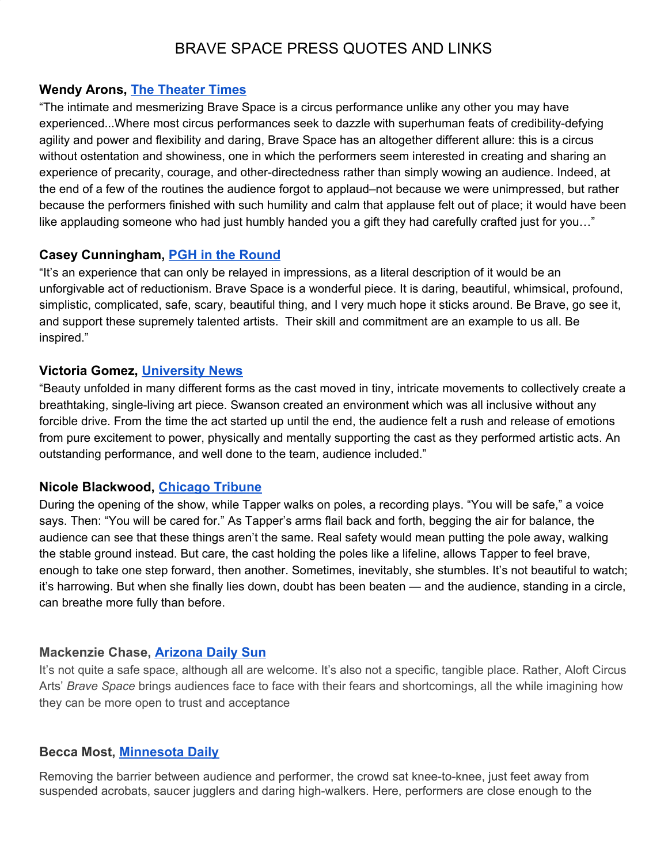# BRAVE SPACE PRESS QUOTES AND LINKS

#### **Wendy Arons, [The Theater Times](https://thetheatretimes.com/brave-space-by-chicago-based-aloft-circus-arts-at-iron-city-circus-arts-on-pittsburghs-south-side/)**

"The intimate and mesmerizing Brave Space is a circus performance unlike any other you may have experienced...Where most circus performances seek to dazzle with superhuman feats of credibility-defying agility and power and flexibility and daring, Brave Space has an altogether different allure: this is a circus without ostentation and showiness, one in which the performers seem interested in creating and sharing an experience of precarity, courage, and other-directedness rather than simply wowing an audience. Indeed, at the end of a few of the routines the audience forgot to applaud–not because we were unimpressed, but rather because the performers finished with such humility and calm that applause felt out of place; it would have been like applauding someone who had just humbly handed you a gift they had carefully crafted just for you..."

#### **Casey Cunningham, [PGH in the Round](https://www.pghintheround.com/the-breathtaking-surrealiasm-of-aloft-circus-brave-space/)**

"It's an experience that can only be relayed in impressions, as a literal description of it would be an unforgivable act of reductionism. Brave Space is a wonderful piece. It is daring, beautiful, whimsical, profound, simplistic, complicated, safe, scary, beautiful thing, and I very much hope it sticks around. Be Brave, go see it, and support these supremely talented artists. Their skill and commitment are an example to us all. Be inspired."

#### **Victoria Gomez, [University News](https://info.umkc.edu/unews/brave-space-where-fear-is-faced/)**

"Beauty unfolded in many different forms as the cast moved in tiny, intricate movements to collectively create a breathtaking, single-living art piece. Swanson created an environment which was all inclusive without any forcible drive. From the time the act started up until the end, the audience felt a rush and release of emotions from pure excitement to power, physically and mentally supporting the cast as they performed artistic acts. An outstanding performance, and well done to the team, audience included."

## **Nicole Blackwood, [Chicago Tribune](https://www.chicagotribune.com/entertainment/theater/ct-ent-brave-space-aloft-circus-ttd-0626-story-20190625-ckisfwsknbgmxhg5pztcqh5nca-story.html)**

During the opening of the show, while Tapper walks on poles, a recording plays. "You will be safe," a voice says. Then: "You will be cared for." As Tapper's arms flail back and forth, begging the air for balance, the audience can see that these things aren't the same. Real safety would mean putting the pole away, walking the stable ground instead. But care, the cast holding the poles like a lifeline, allows Tapper to feel brave, enough to take one step forward, then another. Sometimes, inevitably, she stumbles. It's not beautiful to watch; it's harrowing. But when she finally lies down, doubt has been beaten — and the audience, standing in a circle, can breathe more fully than before.

## **Mackenzie Chase, [Arizona Daily Sun](https://azdailysun.com/flaglive/cover_story/beauty-in-collaboration-aloft-circus-arts-brave-space-celebrates-trust/article_d7b0aede-0ba2-5342-9750-fa2dd22bb4d1.html)**

It's not quite a safe space, although all are welcome. It's also not a specific, tangible place. Rather, Aloft Circus Arts' *Brave Space* brings audiences face to face with their fears and shortcomings, all the while imagining how they can be more open to trust and acceptance

## **Becca Most, [Minnesota Daily](https://www.mndaily.com/article/2019/06/n-building-a-brave-space)**

Removing the barrier between audience and performer, the crowd sat knee-to-knee, just feet away from suspended acrobats, saucer jugglers and daring high-walkers. Here, performers are close enough to the